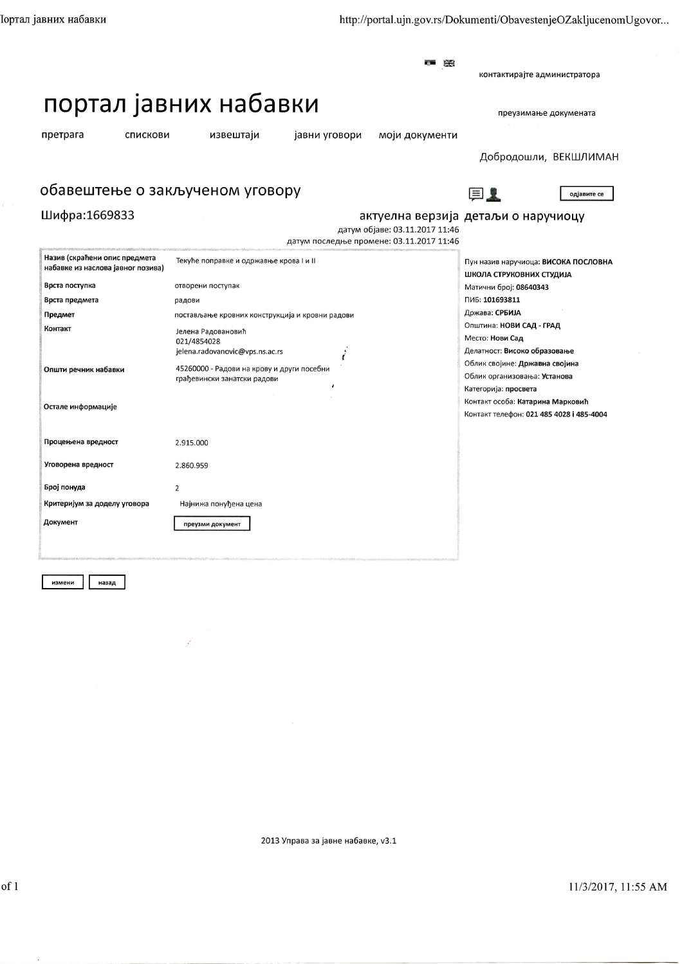**The Color** 景景

контактирајте администратора

## портал јавних набавки

претрага

Шифра:1669833

спискови

извештаји

јавни уговори моји документи

Добродошли, ВЕКШЛИМАН

преузимање докумената

## обавештење о закљученом уговору

目上

одјавите се

## актуелна верзија детаљи о наручиоцу датум објаве: 03.11.2017 11:46 датум последње промене: 03.11.2017 11:46

| Назив (скраћени опис предмета<br>набавке из наслова јавног позива) | Текуће поправке и одржавње крова I и II         | Пун назив наручиоца: ВИСОКА ПОСЛОВНА     |
|--------------------------------------------------------------------|-------------------------------------------------|------------------------------------------|
|                                                                    |                                                 | ШКОЛА СТРУКОВНИХ СТУДИЈА                 |
| Врста поступка                                                     | отворени поступак                               | Матични број: 08640343                   |
| Врста предмета                                                     | радови                                          | ПИБ: 101693811                           |
| Предмет                                                            | постављање кровних конструкција и кровни радови | Држава: СРБИЈА                           |
| Контакт                                                            | Јелена Радовановић                              | Општина: НОВИ САД - ГРАД                 |
|                                                                    | 021/4854028                                     | Место: Нови Сад                          |
|                                                                    | jelena.radovanovic@vps.ns.ac.rs                 | Делатност: Високо образовање             |
| Општи речник набавки                                               | 45260000 - Радови на крову и други посебни      | Облик својине: Државна својина           |
|                                                                    | грађевински занатски радови                     | Облик организовања: Установа             |
|                                                                    |                                                 | Категорија: просвета                     |
| Остале информације                                                 |                                                 | Контакт особа: Катарина Марковић         |
|                                                                    |                                                 | Контакт телефон: 021 485 4028 і 485-4004 |
|                                                                    |                                                 |                                          |
| Процењена вредност                                                 | 2.915.000                                       |                                          |
|                                                                    |                                                 |                                          |
| Уговорена вредност                                                 | 2.860.959                                       |                                          |
|                                                                    |                                                 |                                          |
| Број понуда                                                        | 2                                               |                                          |
| Критеријум за доделу уговора                                       | Најнижа понуђена цена                           |                                          |
|                                                                    |                                                 |                                          |
| Документ                                                           | преузми документ                                |                                          |
|                                                                    |                                                 |                                          |
|                                                                    |                                                 |                                          |

измени назад

2013 Управа за јавне набавке, v3.1

11/3/2017, 11:55 AM